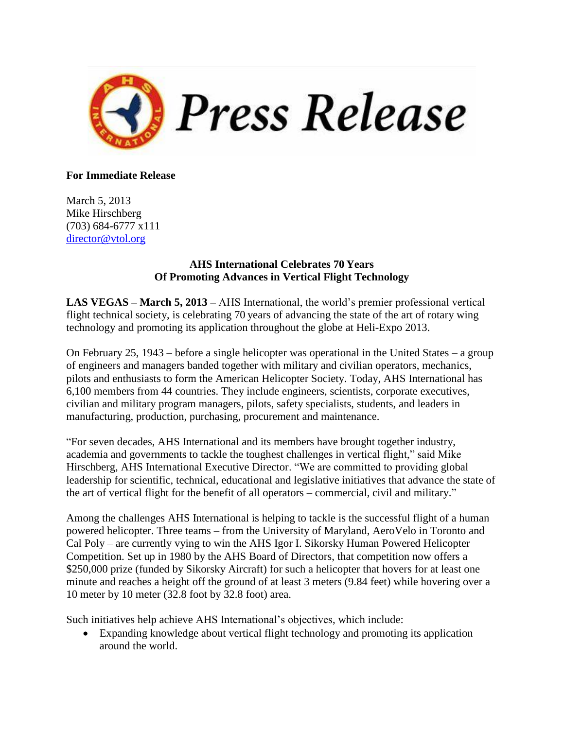

## **For Immediate Release**

March 5, 2013 Mike Hirschberg (703) 684-6777 x111 [director@vtol.org](mailto:director@vtol.org)

## **AHS International Celebrates 70 Years Of Promoting Advances in Vertical Flight Technology**

**LAS VEGAS – March 5, 2013 –** AHS International, the world's premier professional vertical flight technical society, is celebrating 70 years of advancing the state of the art of rotary wing technology and promoting its application throughout the globe at Heli-Expo 2013.

On February 25, 1943 – before a single helicopter was operational in the United States – a group of engineers and managers banded together with military and civilian operators, mechanics, pilots and enthusiasts to form the American Helicopter Society. Today, AHS International has 6,100 members from 44 countries. They include engineers, scientists, corporate executives, civilian and military program managers, pilots, safety specialists, students, and leaders in manufacturing, production, purchasing, procurement and maintenance.

"For seven decades, AHS International and its members have brought together industry, academia and governments to tackle the toughest challenges in vertical flight," said Mike Hirschberg, AHS International Executive Director. "We are committed to providing global leadership for scientific, technical, educational and legislative initiatives that advance the state of the art of vertical flight for the benefit of all operators – commercial, civil and military."

Among the challenges AHS International is helping to tackle is the successful flight of a human powered helicopter. Three teams – from the University of Maryland, AeroVelo in Toronto and Cal Poly – are currently vying to win the AHS Igor I. Sikorsky Human Powered Helicopter Competition. Set up in 1980 by the AHS Board of Directors, that competition now offers a \$250,000 prize (funded by Sikorsky Aircraft) for such a helicopter that hovers for at least one minute and reaches a height off the ground of at least 3 meters (9.84 feet) while hovering over a 10 meter by 10 meter (32.8 foot by 32.8 foot) area.

Such initiatives help achieve AHS International's objectives, which include:

 Expanding knowledge about vertical flight technology and promoting its application around the world.